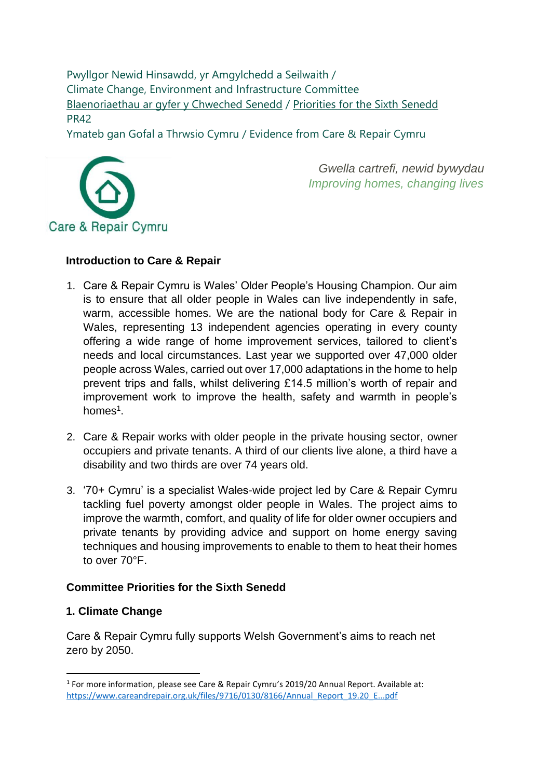Pwyllgor Newid Hinsawdd, yr Amgylchedd a Seilwaith / Climate Change, Environment and Infrastructure Committee [Blaenoriaethau ar gyfer y Chweched Senedd](https://busnes.senedd.cymru/mgConsultationDisplay.aspx?id=427&RPID=1026452002&cp=yes) / [Priorities for the Sixth Senedd](https://business.senedd.wales/mgConsultationDisplay.aspx?id=427&RPID=1026452002&cp=yes) PR42

Ymateb gan Gofal a Thrwsio Cymru / Evidence from Care & Repair Cymru



*Gwella cartrefi, newid bywydau Improving homes, changing lives* 

#### **Introduction to Care & Repair**

- 1. Care & Repair Cymru is Wales' Older People's Housing Champion. Our aim is to ensure that all older people in Wales can live independently in safe, warm, accessible homes. We are the national body for Care & Repair in Wales, representing 13 independent agencies operating in every county offering a wide range of home improvement services, tailored to client's needs and local circumstances. Last year we supported over 47,000 older people across Wales, carried out over 17,000 adaptations in the home to help prevent trips and falls, whilst delivering £14.5 million's worth of repair and improvement work to improve the health, safety and warmth in people's homes<sup>1</sup>.
- 2. Care & Repair works with older people in the private housing sector, owner occupiers and private tenants. A third of our clients live alone, a third have a disability and two thirds are over 74 years old.
- 3. '70+ Cymru' is a specialist Wales-wide project led by Care & Repair Cymru tackling fuel poverty amongst older people in Wales. The project aims to improve the warmth, comfort, and quality of life for older owner occupiers and private tenants by providing advice and support on home energy saving techniques and housing improvements to enable to them to heat their homes to over 70°F.

#### **Committee Priorities for the Sixth Senedd**

#### **1. Climate Change**

Care & Repair Cymru fully supports Welsh Government's aims to reach net zero by 2050.

<sup>&</sup>lt;sup>1</sup> For more information, please see Care & Repair Cymru's 2019/20 Annual Report. Available at: [https://www.careandrepair.org.uk/files/9716/0130/8166/Annual\\_Report\\_19.20\\_E...pdf](https://www.careandrepair.org.uk/files/9716/0130/8166/Annual_Report_19.20_E...pdf)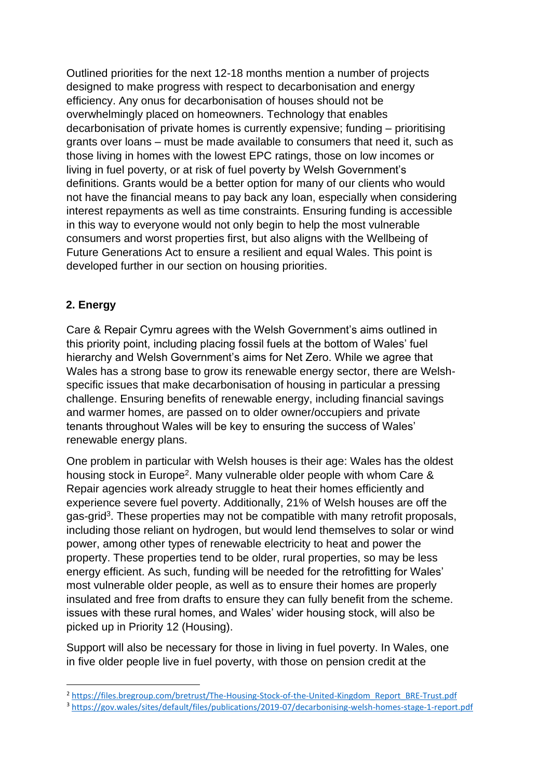Outlined priorities for the next 12-18 months mention a number of projects designed to make progress with respect to decarbonisation and energy efficiency. Any onus for decarbonisation of houses should not be overwhelmingly placed on homeowners. Technology that enables decarbonisation of private homes is currently expensive; funding – prioritising grants over loans – must be made available to consumers that need it, such as those living in homes with the lowest EPC ratings, those on low incomes or living in fuel poverty, or at risk of fuel poverty by Welsh Government's definitions. Grants would be a better option for many of our clients who would not have the financial means to pay back any loan, especially when considering interest repayments as well as time constraints. Ensuring funding is accessible in this way to everyone would not only begin to help the most vulnerable consumers and worst properties first, but also aligns with the Wellbeing of Future Generations Act to ensure a resilient and equal Wales. This point is developed further in our section on housing priorities.

#### **2. Energy**

Care & Repair Cymru agrees with the Welsh Government's aims outlined in this priority point, including placing fossil fuels at the bottom of Wales' fuel hierarchy and Welsh Government's aims for Net Zero. While we agree that Wales has a strong base to grow its renewable energy sector, there are Welshspecific issues that make decarbonisation of housing in particular a pressing challenge. Ensuring benefits of renewable energy, including financial savings and warmer homes, are passed on to older owner/occupiers and private tenants throughout Wales will be key to ensuring the success of Wales' renewable energy plans.

One problem in particular with Welsh houses is their age: Wales has the oldest housing stock in Europe<sup>2</sup>. Many vulnerable older people with whom Care & Repair agencies work already struggle to heat their homes efficiently and experience severe fuel poverty. Additionally, 21% of Welsh houses are off the gas-grid<sup>3</sup>. These properties may not be compatible with many retrofit proposals, including those reliant on hydrogen, but would lend themselves to solar or wind power, among other types of renewable electricity to heat and power the property. These properties tend to be older, rural properties, so may be less energy efficient. As such, funding will be needed for the retrofitting for Wales' most vulnerable older people, as well as to ensure their homes are properly insulated and free from drafts to ensure they can fully benefit from the scheme. issues with these rural homes, and Wales' wider housing stock, will also be picked up in Priority 12 (Housing).

Support will also be necessary for those in living in fuel poverty. In Wales, one in five older people live in fuel poverty, with those on pension credit at the

<sup>2</sup> [https://files.bregroup.com/bretrust/The-Housing-Stock-of-the-United-Kingdom\\_Report\\_BRE-Trust.pdf](https://files.bregroup.com/bretrust/The-Housing-Stock-of-the-United-Kingdom_Report_BRE-Trust.pdf)

<sup>3</sup> <https://gov.wales/sites/default/files/publications/2019-07/decarbonising-welsh-homes-stage-1-report.pdf>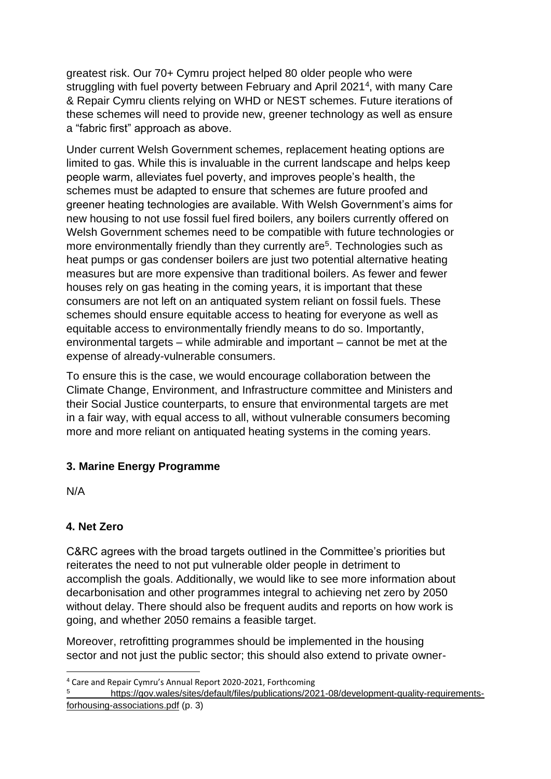greatest risk. Our 70+ Cymru project helped 80 older people who were struggling with fuel poverty between February and April 2021<sup>4</sup>, with many Care & Repair Cymru clients relying on WHD or NEST schemes. Future iterations of these schemes will need to provide new, greener technology as well as ensure a "fabric first" approach as above.

Under current Welsh Government schemes, replacement heating options are limited to gas. While this is invaluable in the current landscape and helps keep people warm, alleviates fuel poverty, and improves people's health, the schemes must be adapted to ensure that schemes are future proofed and greener heating technologies are available. With Welsh Government's aims for new housing to not use fossil fuel fired boilers, any boilers currently offered on Welsh Government schemes need to be compatible with future technologies or more environmentally friendly than they currently are<sup>5</sup>. Technologies such as heat pumps or gas condenser boilers are just two potential alternative heating measures but are more expensive than traditional boilers. As fewer and fewer houses rely on gas heating in the coming years, it is important that these consumers are not left on an antiquated system reliant on fossil fuels. These schemes should ensure equitable access to heating for everyone as well as equitable access to environmentally friendly means to do so. Importantly, environmental targets – while admirable and important – cannot be met at the expense of already-vulnerable consumers.

To ensure this is the case, we would encourage collaboration between the Climate Change, Environment, and Infrastructure committee and Ministers and their Social Justice counterparts, to ensure that environmental targets are met in a fair way, with equal access to all, without vulnerable consumers becoming more and more reliant on antiquated heating systems in the coming years.

### **3. Marine Energy Programme**

N/A

# **4. Net Zero**

C&RC agrees with the broad targets outlined in the Committee's priorities but reiterates the need to not put vulnerable older people in detriment to accomplish the goals. Additionally, we would like to see more information about decarbonisation and other programmes integral to achieving net zero by 2050 without delay. There should also be frequent audits and reports on how work is going, and whether 2050 remains a feasible target.

Moreover, retrofitting programmes should be implemented in the housing sector and not just the public sector; this should also extend to private owner-

<sup>4</sup> Care and Repair Cymru's Annual Report 2020-2021, Forthcoming

<sup>5</sup> [https://gov.wales/sites/default/files/publications/2021-08/development-quality-requirements](https://gov.wales/sites/default/files/publications/2021-08/development-quality-requirements-for-housing-associations.pdf)[forhousing-associations.pdf](https://gov.wales/sites/default/files/publications/2021-08/development-quality-requirements-for-housing-associations.pdf) (p. 3)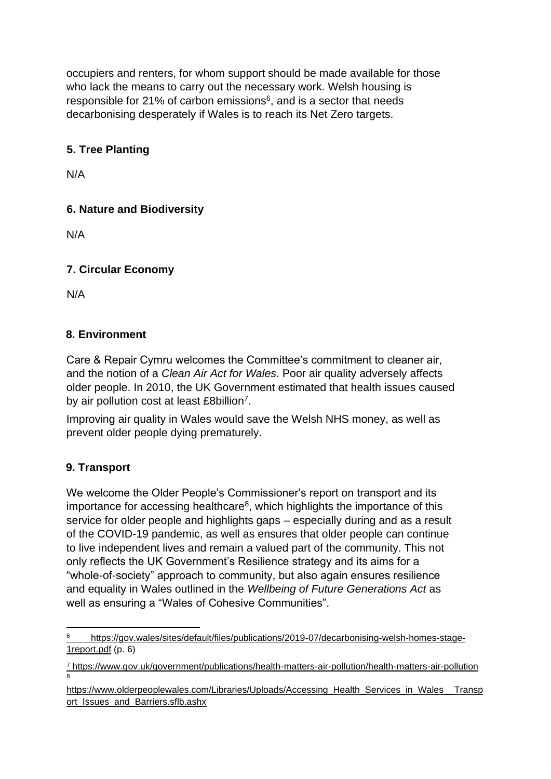occupiers and renters, for whom support should be made available for those who lack the means to carry out the necessary work. Welsh housing is responsible for 21% of carbon emissions $6$ , and is a sector that needs decarbonising desperately if Wales is to reach its Net Zero targets.

## **5. Tree Planting**

N/A

## **6. Nature and Biodiversity**

N/A

### **7. Circular Economy**

N/A

### **8. Environment**

Care & Repair Cymru welcomes the Committee's commitment to cleaner air, and the notion of a *Clean Air Act for Wales*. Poor air quality adversely affects older people. In 2010, the UK Government estimated that health issues caused by air pollution cost at least £8billion<sup>7</sup>.

Improving air quality in Wales would save the Welsh NHS money, as well as prevent older people dying prematurely.

### **9. Transport**

We welcome the Older People's Commissioner's report on transport and its importance for accessing healthcare<sup>8</sup>, which highlights the importance of this service for older people and highlights gaps – especially during and as a result of the COVID-19 pandemic, as well as ensures that older people can continue to live independent lives and remain a valued part of the community. This not only reflects the UK Government's Resilience strategy and its aims for a "whole-of-society" approach to community, but also again ensures resilience and equality in Wales outlined in the *Wellbeing of Future Generations Act* as well as ensuring a "Wales of Cohesive Communities".

<sup>6</sup> [https://gov.wales/sites/default/files/publications/2019-07/decarbonising-welsh-homes-stage-](https://gov.wales/sites/default/files/publications/2019-07/decarbonising-welsh-homes-stage-1-report.pdf)[1report.pdf](https://gov.wales/sites/default/files/publications/2019-07/decarbonising-welsh-homes-stage-1-report.pdf) (p. 6)

<sup>7</sup> <https://www.gov.uk/government/publications/health-matters-air-pollution/health-matters-air-pollution> 8

[https://www.olderpeoplewales.com/Libraries/Uploads/Accessing\\_Health\\_Services\\_in\\_Wales\\_\\_Transp](https://www.olderpeoplewales.com/Libraries/Uploads/Accessing_Health_Services_in_Wales_-_Transport_Issues_and_Barriers.sflb.ashx) [ort\\_Issues\\_and\\_Barriers.sflb.ashx](https://www.olderpeoplewales.com/Libraries/Uploads/Accessing_Health_Services_in_Wales_-_Transport_Issues_and_Barriers.sflb.ashx)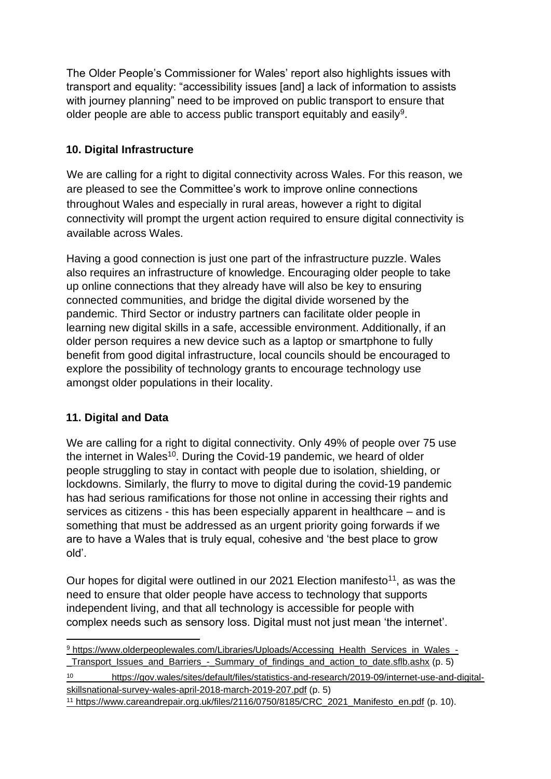The Older People's Commissioner for Wales' report also highlights issues with transport and equality: "accessibility issues [and] a lack of information to assists with journey planning" need to be improved on public transport to ensure that older people are able to access public transport equitably and easily<sup>9</sup>.

### **10. Digital Infrastructure**

We are calling for a right to digital connectivity across Wales. For this reason, we are pleased to see the Committee's work to improve online connections throughout Wales and especially in rural areas, however a right to digital connectivity will prompt the urgent action required to ensure digital connectivity is available across Wales.

Having a good connection is just one part of the infrastructure puzzle. Wales also requires an infrastructure of knowledge. Encouraging older people to take up online connections that they already have will also be key to ensuring connected communities, and bridge the digital divide worsened by the pandemic. Third Sector or industry partners can facilitate older people in learning new digital skills in a safe, accessible environment. Additionally, if an older person requires a new device such as a laptop or smartphone to fully benefit from good digital infrastructure, local councils should be encouraged to explore the possibility of technology grants to encourage technology use amongst older populations in their locality.

# **11. Digital and Data**

We are calling for a right to digital connectivity. Only 49% of people over 75 use the internet in Wales<sup>10</sup>. During the Covid-19 pandemic, we heard of older people struggling to stay in contact with people due to isolation, shielding, or lockdowns. Similarly, the flurry to move to digital during the covid-19 pandemic has had serious ramifications for those not online in accessing their rights and services as citizens - this has been especially apparent in healthcare – and is something that must be addressed as an urgent priority going forwards if we are to have a Wales that is truly equal, cohesive and 'the best place to grow old'.

Our hopes for digital were outlined in our 2021 Election manifesto<sup>11</sup>, as was the need to ensure that older people have access to technology that supports independent living, and that all technology is accessible for people with complex needs such as sensory loss. Digital must not just mean 'the internet'.

<sup>9</sup> [https://www.olderpeoplewales.com/Libraries/Uploads/Accessing\\_Health\\_Services\\_in\\_Wales\\_-](https://www.olderpeoplewales.com/Libraries/Uploads/Accessing_Health_Services_in_Wales_-_Transport_Issues_and_Barriers_-_Summary_of_findings_and_action_to_date.sflb.ashx) Transport Issues and Barriers - Summary of findings and action to date.sflb.ashx (p. 5)

<sup>10</sup> [https://gov.wales/sites/default/files/statistics-and-research/2019-09/internet-use-and-digital](https://gov.wales/sites/default/files/statistics-and-research/2019-09/internet-use-and-digital-skills-national-survey-wales-april-2018-march-2019-207.pdf)[skillsnational-survey-wales-april-2018-march-2019-207.pdf](https://gov.wales/sites/default/files/statistics-and-research/2019-09/internet-use-and-digital-skills-national-survey-wales-april-2018-march-2019-207.pdf) [\(](https://gov.wales/sites/default/files/statistics-and-research/2019-09/internet-use-and-digital-skills-national-survey-wales-april-2018-march-2019-207.pdf)p. 5)

<sup>11</sup> [https://www.careandrepair.org.uk/files/2116/0750/8185/CRC\\_2021\\_Manifesto\\_en.pdf](https://www.careandrepair.org.uk/files/2116/0750/8185/CRC_2021_Manifesto_en.pdf) [\(](https://www.careandrepair.org.uk/files/2116/0750/8185/CRC_2021_Manifesto_en.pdf)p. 10).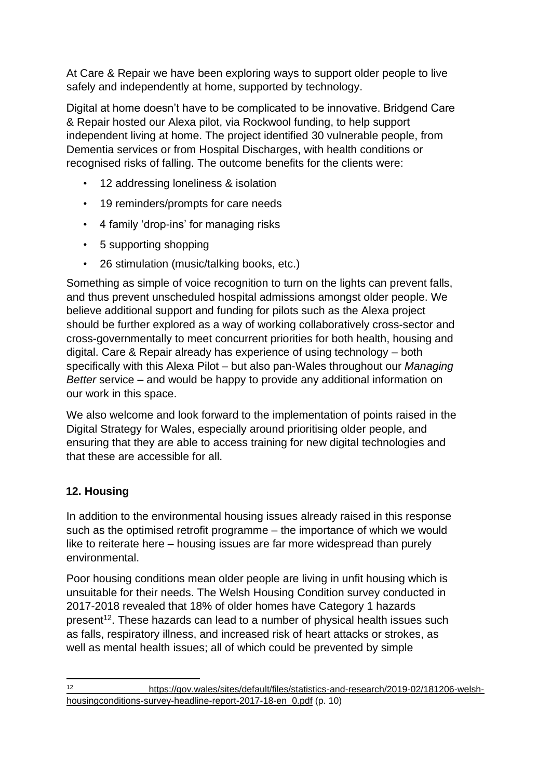At Care & Repair we have been exploring ways to support older people to live safely and independently at home, supported by technology.

Digital at home doesn't have to be complicated to be innovative. Bridgend Care & Repair hosted our Alexa pilot, via Rockwool funding, to help support independent living at home. The project identified 30 vulnerable people, from Dementia services or from Hospital Discharges, with health conditions or recognised risks of falling. The outcome benefits for the clients were:

- 12 addressing loneliness & isolation
- 19 reminders/prompts for care needs
- 4 family 'drop-ins' for managing risks
- 5 supporting shopping
- 26 stimulation (music/talking books, etc.)

Something as simple of voice recognition to turn on the lights can prevent falls, and thus prevent unscheduled hospital admissions amongst older people. We believe additional support and funding for pilots such as the Alexa project should be further explored as a way of working collaboratively cross-sector and cross-governmentally to meet concurrent priorities for both health, housing and digital. Care & Repair already has experience of using technology – both specifically with this Alexa Pilot – but also pan-Wales throughout our *Managing Better* service – and would be happy to provide any additional information on our work in this space.

We also welcome and look forward to the implementation of points raised in the Digital Strategy for Wales, especially around prioritising older people, and ensuring that they are able to access training for new digital technologies and that these are accessible for all.

# **12. Housing**

In addition to the environmental housing issues already raised in this response such as the optimised retrofit programme – the importance of which we would like to reiterate here – housing issues are far more widespread than purely environmental.

Poor housing conditions mean older people are living in unfit housing which is unsuitable for their needs. The Welsh Housing Condition survey conducted in 2017-2018 revealed that 18% of older homes have Category 1 hazards present<sup>12</sup>. These hazards can lead to a number of physical health issues such as falls, respiratory illness, and increased risk of heart attacks or strokes, as well as mental health issues; all of which could be prevented by simple

<sup>12</sup> [https://gov.wales/sites/default/files/statistics-and-research/2019-02/181206-welsh](https://gov.wales/sites/default/files/statistics-and-research/2019-02/181206-welsh-housing-conditions-survey-headline-report-2017-18-en_0.pdf)[housingconditions-survey-headline-report-2017-18-en\\_0.pdf](https://gov.wales/sites/default/files/statistics-and-research/2019-02/181206-welsh-housing-conditions-survey-headline-report-2017-18-en_0.pdf) (p. 10)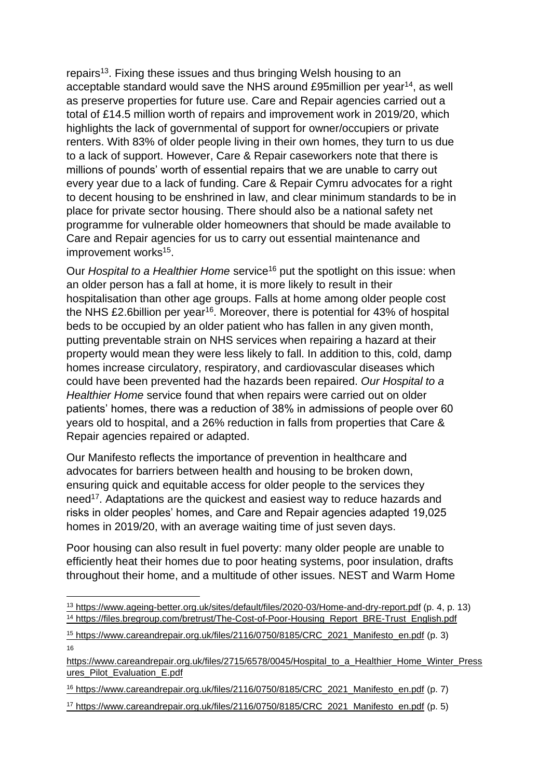repairs<sup>13</sup>. Fixing these issues and thus bringing Welsh housing to an acceptable standard would save the NHS around £95million per year<sup>14</sup>, as well as preserve properties for future use. Care and Repair agencies carried out a total of £14.5 million worth of repairs and improvement work in 2019/20, which highlights the lack of governmental of support for owner/occupiers or private renters. With 83% of older people living in their own homes, they turn to us due to a lack of support. However, Care & Repair caseworkers note that there is millions of pounds' worth of essential repairs that we are unable to carry out every year due to a lack of funding. Care & Repair Cymru advocates for a right to decent housing to be enshrined in law, and clear minimum standards to be in place for private sector housing. There should also be a national safety net programme for vulnerable older homeowners that should be made available to Care and Repair agencies for us to carry out essential maintenance and improvement works<sup>15</sup>.

Our *Hospital to a Healthier Home* service<sup>16</sup> put the spotlight on this issue: when an older person has a fall at home, it is more likely to result in their hospitalisation than other age groups. Falls at home among older people cost the NHS £2.6billion per year<sup>16</sup>. Moreover, there is potential for 43% of hospital beds to be occupied by an older patient who has fallen in any given month, putting preventable strain on NHS services when repairing a hazard at their property would mean they were less likely to fall. In addition to this, cold, damp homes increase circulatory, respiratory, and cardiovascular diseases which could have been prevented had the hazards been repaired. *Our Hospital to a Healthier Home* service found that when repairs were carried out on older patients' homes, there was a reduction of 38% in admissions of people over 60 years old to hospital, and a 26% reduction in falls from properties that Care & Repair agencies repaired or adapted.

Our Manifesto reflects the importance of prevention in healthcare and advocates for barriers between health and housing to be broken down, ensuring quick and equitable access for older people to the services they need<sup>17</sup>. Adaptations are the quickest and easiest way to reduce hazards and risks in older peoples' homes, and Care and Repair agencies adapted 19,025 homes in 2019/20, with an average waiting time of just seven days.

Poor housing can also result in fuel poverty: many older people are unable to efficiently heat their homes due to poor heating systems, poor insulation, drafts throughout their home, and a multitude of other issues. NEST and Warm Home

<sup>13</sup> <https://www.ageing-better.org.uk/sites/default/files/2020-03/Home-and-dry-report.pdf> (p. 4, p. 13) <sup>14</sup> https://files.bregroup.com/bretrust/The-Cost-of-Poor-Housing\_Report\_BRE-Trust\_English.pdf

<sup>15</sup> [https://www.careandrepair.org.uk/files/2116/0750/8185/CRC\\_2021\\_Manifesto\\_en.pdf](https://www.careandrepair.org.uk/files/2116/0750/8185/CRC_2021_Manifesto_en.pdf) [\(](https://www.careandrepair.org.uk/files/2116/0750/8185/CRC_2021_Manifesto_en.pdf)p. 3) 16

https://www.careandrepair.org.uk/files/2715/6578/0045/Hospital\_to\_a\_Healthier\_Home\_Winter\_Press [ures\\_Pilot\\_Evaluation\\_E.pdf](https://www.careandrepair.org.uk/files/2715/6578/0045/Hospital_to_a_Healthier_Home_Winter_Pressures_Pilot_Evaluation_E.pdf)

<sup>16</sup> [https://www.careandrepair.org.uk/files/2116/0750/8185/CRC\\_2021\\_Manifesto\\_en.pdf](https://www.careandrepair.org.uk/files/2116/0750/8185/CRC_2021_Manifesto_en.pdf) [\(](https://www.careandrepair.org.uk/files/2116/0750/8185/CRC_2021_Manifesto_en.pdf)p. 7)

<sup>17</sup> [https://www.careandrepair.org.uk/files/2116/0750/8185/CRC\\_2021\\_Manifesto\\_en.pdf](https://www.careandrepair.org.uk/files/2116/0750/8185/CRC_2021_Manifesto_en.pdf) [\(](https://www.careandrepair.org.uk/files/2116/0750/8185/CRC_2021_Manifesto_en.pdf)p. 5)